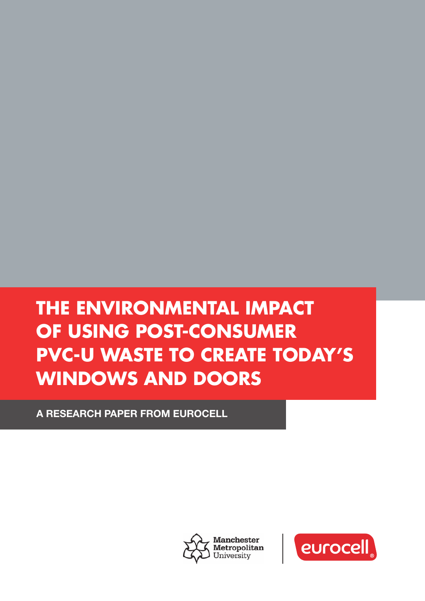# **THE ENVIRONMENTAL IMPACT OF USING POST-CONSUMER PVC-U WASTE TO CREATE TODAY'S WINDOWS AND DOORS**

A RESEARCH PAPER FROM EUROCELL



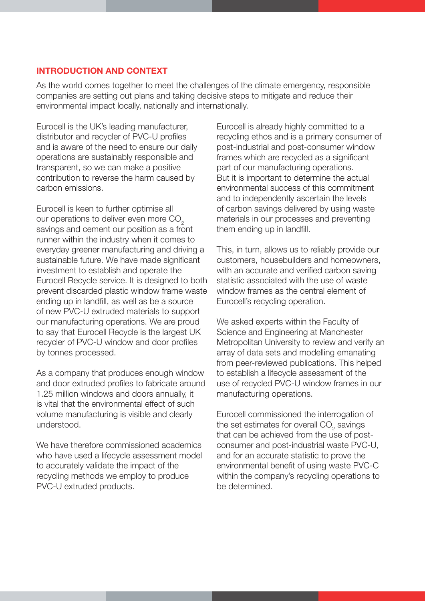#### **INTRODUCTION AND CONTEXT**

As the world comes together to meet the challenges of the climate emergency, responsible companies are setting out plans and taking decisive steps to mitigate and reduce their environmental impact locally, nationally and internationally.

Eurocell is the UK's leading manufacturer, distributor and recycler of PVC-U profiles and is aware of the need to ensure our daily operations are sustainably responsible and transparent, so we can make a positive contribution to reverse the harm caused by carbon emissions.

Eurocell is keen to further optimise all our operations to deliver even more CO<sub>2</sub> savings and cement our position as a front runner within the industry when it comes to everyday greener manufacturing and driving a sustainable future. We have made significant investment to establish and operate the Eurocell Recycle service. It is designed to both prevent discarded plastic window frame waste ending up in landfill, as well as be a source of new PVC-U extruded materials to support our manufacturing operations. We are proud to say that Eurocell Recycle is the largest UK recycler of PVC-U window and door profiles by tonnes processed.

As a company that produces enough window and door extruded profiles to fabricate around 1.25 million windows and doors annually, it is vital that the environmental effect of such volume manufacturing is visible and clearly understood.

We have therefore commissioned academics who have used a lifecycle assessment model to accurately validate the impact of the recycling methods we employ to produce PVC-U extruded products.

Eurocell is already highly committed to a recycling ethos and is a primary consumer of post-industrial and post-consumer window frames which are recycled as a significant part of our manufacturing operations. But it is important to determine the actual environmental success of this commitment and to independently ascertain the levels of carbon savings delivered by using waste materials in our processes and preventing them ending up in landfill.

This, in turn, allows us to reliably provide our customers, housebuilders and homeowners, with an accurate and verified carbon saving statistic associated with the use of waste window frames as the central element of Eurocell's recycling operation.

We asked experts within the Faculty of Science and Engineering at Manchester Metropolitan University to review and verify an array of data sets and modelling emanating from peer-reviewed publications. This helped to establish a lifecycle assessment of the use of recycled PVC-U window frames in our manufacturing operations.

Eurocell commissioned the interrogation of the set estimates for overall CO<sub>2</sub> savings that can be achieved from the use of postconsumer and post-industrial waste PVC-U, and for an accurate statistic to prove the environmental benefit of using waste PVC-C within the company's recycling operations to be determined.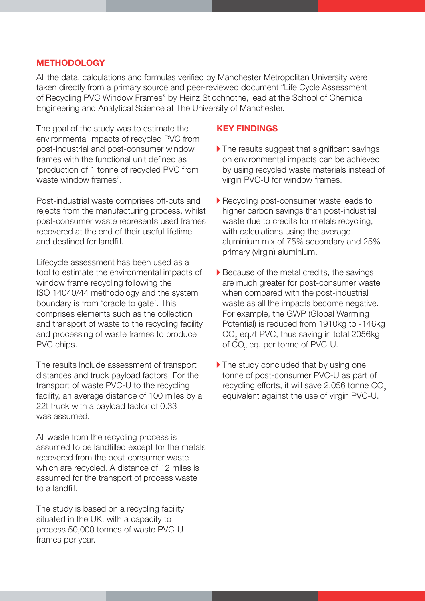#### **METHODOLOGY**

All the data, calculations and formulas verified by Manchester Metropolitan University were taken directly from a primary source and peer-reviewed document "Life Cycle Assessment of Recycling PVC Window Frames" by Heinz Sticchnothe, lead at the School of Chemical Engineering and Analytical Science at The University of Manchester.

The goal of the study was to estimate the environmental impacts of recycled PVC from post-industrial and post-consumer window frames with the functional unit defined as 'production of 1 tonne of recycled PVC from waste window frames'.

Post-industrial waste comprises off-cuts and rejects from the manufacturing process, whilst post-consumer waste represents used frames recovered at the end of their useful lifetime and destined for landfill.

Lifecycle assessment has been used as a tool to estimate the environmental impacts of window frame recycling following the ISO 14040/44 methodology and the system boundary is from 'cradle to gate'. This comprises elements such as the collection and transport of waste to the recycling facility and processing of waste frames to produce PVC chips.

The results include assessment of transport distances and truck payload factors. For the transport of waste PVC-U to the recycling facility, an average distance of 100 miles by a 22t truck with a payload factor of 0.33 was assumed.

All waste from the recycling process is assumed to be landfilled except for the metals recovered from the post-consumer waste which are recycled. A distance of 12 miles is assumed for the transport of process waste to a landfill.

The study is based on a recycling facility situated in the UK, with a capacity to process 50,000 tonnes of waste PVC-U frames per year.

#### **KEY FINDINGS**

- $\blacktriangleright$  The results suggest that significant savings on environmental impacts can be achieved by using recycled waste materials instead of virgin PVC-U for window frames.
- Recycling post-consumer waste leads to higher carbon savings than post-industrial waste due to credits for metals recycling, with calculations using the average aluminium mix of 75% secondary and 25% primary (virgin) aluminium.
- Because of the metal credits, the savings are much greater for post-consumer waste when compared with the post-industrial waste as all the impacts become negative. For example, the GWP (Global Warming Potential) is reduced from 1910kg to -146kg  $\mathrm{CO}_2^{\phantom{\dag}}$ eq./t PVC, thus saving in total 2056kg of CO $_2$  eq. per tonne of PVC-U.
- The study concluded that by using one tonne of post-consumer PVC-U as part of recycling efforts, it will save  $2.056$  tonne  $CO<sub>2</sub>$ equivalent against the use of virgin PVC-U.